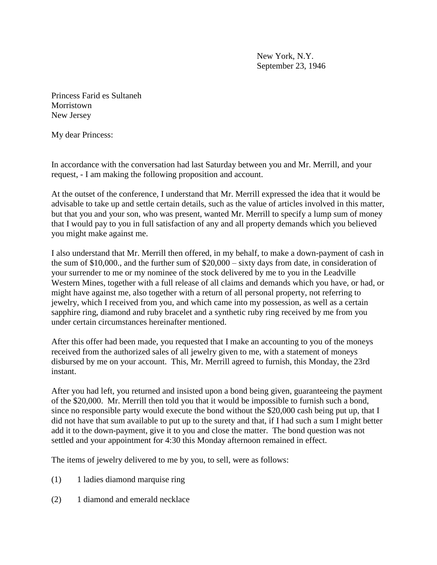New York, N.Y. September 23, 1946

Princess Farid es Sultaneh Morristown New Jersey

My dear Princess:

In accordance with the conversation had last Saturday between you and Mr. Merrill, and your request, - I am making the following proposition and account.

At the outset of the conference, I understand that Mr. Merrill expressed the idea that it would be advisable to take up and settle certain details, such as the value of articles involved in this matter, but that you and your son, who was present, wanted Mr. Merrill to specify a lump sum of money that I would pay to you in full satisfaction of any and all property demands which you believed you might make against me.

I also understand that Mr. Merrill then offered, in my behalf, to make a down-payment of cash in the sum of \$10,000., and the further sum of \$20,000 – sixty days from date, in consideration of your surrender to me or my nominee of the stock delivered by me to you in the Leadville Western Mines, together with a full release of all claims and demands which you have, or had, or might have against me, also together with a return of all personal property, not referring to jewelry, which I received from you, and which came into my possession, as well as a certain sapphire ring, diamond and ruby bracelet and a synthetic ruby ring received by me from you under certain circumstances hereinafter mentioned.

After this offer had been made, you requested that I make an accounting to you of the moneys received from the authorized sales of all jewelry given to me, with a statement of moneys disbursed by me on your account. This, Mr. Merrill agreed to furnish, this Monday, the 23rd instant.

After you had left, you returned and insisted upon a bond being given, guaranteeing the payment of the \$20,000. Mr. Merrill then told you that it would be impossible to furnish such a bond, since no responsible party would execute the bond without the \$20,000 cash being put up, that I did not have that sum available to put up to the surety and that, if I had such a sum I might better add it to the down-payment, give it to you and close the matter. The bond question was not settled and your appointment for 4:30 this Monday afternoon remained in effect.

The items of jewelry delivered to me by you, to sell, were as follows:

- (1) 1 ladies diamond marquise ring
- (2) 1 diamond and emerald necklace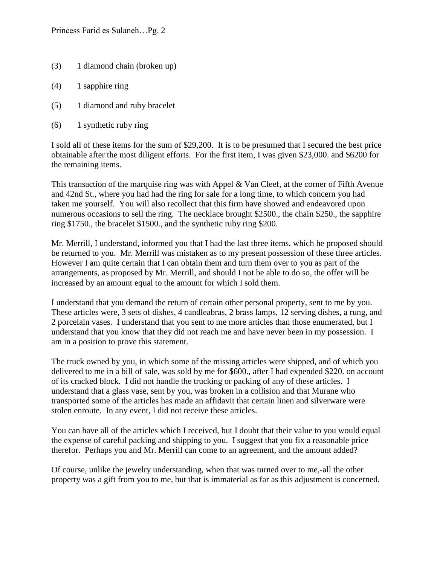- (3) 1 diamond chain (broken up)
- (4) 1 sapphire ring
- (5) 1 diamond and ruby bracelet
- (6) 1 synthetic ruby ring

I sold all of these items for the sum of \$29,200. It is to be presumed that I secured the best price obtainable after the most diligent efforts. For the first item, I was given \$23,000. and \$6200 for the remaining items.

This transaction of the marquise ring was with Appel & Van Cleef, at the corner of Fifth Avenue and 42nd St., where you had had the ring for sale for a long time, to which concern you had taken me yourself. You will also recollect that this firm have showed and endeavored upon numerous occasions to sell the ring. The necklace brought \$2500, the chain \$250, the sapphire ring \$1750., the bracelet \$1500., and the synthetic ruby ring \$200.

Mr. Merrill, I understand, informed you that I had the last three items, which he proposed should be returned to you. Mr. Merrill was mistaken as to my present possession of these three articles. However I am quite certain that I can obtain them and turn them over to you as part of the arrangements, as proposed by Mr. Merrill, and should I not be able to do so, the offer will be increased by an amount equal to the amount for which I sold them.

I understand that you demand the return of certain other personal property, sent to me by you. These articles were, 3 sets of dishes, 4 candleabras, 2 brass lamps, 12 serving dishes, a rung, and 2 porcelain vases. I understand that you sent to me more articles than those enumerated, but I understand that you know that they did not reach me and have never been in my possession. I am in a position to prove this statement.

The truck owned by you, in which some of the missing articles were shipped, and of which you delivered to me in a bill of sale, was sold by me for \$600., after I had expended \$220. on account of its cracked block. I did not handle the trucking or packing of any of these articles. I understand that a glass vase, sent by you, was broken in a collision and that Murane who transported some of the articles has made an affidavit that certain linen and silverware were stolen enroute. In any event, I did not receive these articles.

You can have all of the articles which I received, but I doubt that their value to you would equal the expense of careful packing and shipping to you. I suggest that you fix a reasonable price therefor. Perhaps you and Mr. Merrill can come to an agreement, and the amount added?

Of course, unlike the jewelry understanding, when that was turned over to me,-all the other property was a gift from you to me, but that is immaterial as far as this adjustment is concerned.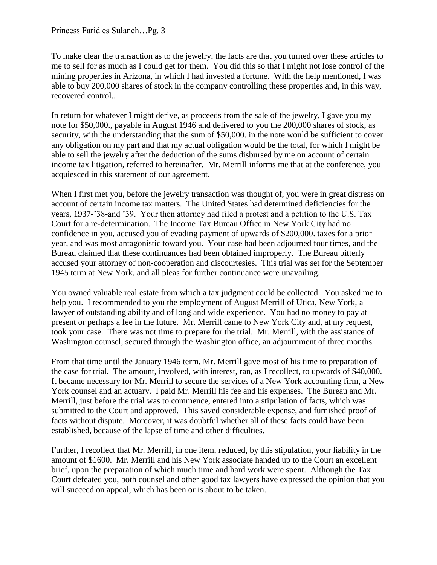To make clear the transaction as to the jewelry, the facts are that you turned over these articles to me to sell for as much as I could get for them. You did this so that I might not lose control of the mining properties in Arizona, in which I had invested a fortune. With the help mentioned, I was able to buy 200,000 shares of stock in the company controlling these properties and, in this way, recovered control..

In return for whatever I might derive, as proceeds from the sale of the jewelry, I gave you my note for \$50,000., payable in August 1946 and delivered to you the 200,000 shares of stock, as security, with the understanding that the sum of \$50,000. in the note would be sufficient to cover any obligation on my part and that my actual obligation would be the total, for which I might be able to sell the jewelry after the deduction of the sums disbursed by me on account of certain income tax litigation, referred to hereinafter. Mr. Merrill informs me that at the conference, you acquiesced in this statement of our agreement.

When I first met you, before the jewelry transaction was thought of, you were in great distress on account of certain income tax matters. The United States had determined deficiencies for the years, 1937-'38-and '39. Your then attorney had filed a protest and a petition to the U.S. Tax Court for a re-determination. The Income Tax Bureau Office in New York City had no confidence in you, accused you of evading payment of upwards of \$200,000. taxes for a prior year, and was most antagonistic toward you. Your case had been adjourned four times, and the Bureau claimed that these continuances had been obtained improperly. The Bureau bitterly accused your attorney of non-cooperation and discourtesies. This trial was set for the September 1945 term at New York, and all pleas for further continuance were unavailing.

You owned valuable real estate from which a tax judgment could be collected. You asked me to help you. I recommended to you the employment of August Merrill of Utica, New York, a lawyer of outstanding ability and of long and wide experience. You had no money to pay at present or perhaps a fee in the future. Mr. Merrill came to New York City and, at my request, took your case. There was not time to prepare for the trial. Mr. Merrill, with the assistance of Washington counsel, secured through the Washington office, an adjournment of three months.

From that time until the January 1946 term, Mr. Merrill gave most of his time to preparation of the case for trial. The amount, involved, with interest, ran, as I recollect, to upwards of \$40,000. It became necessary for Mr. Merrill to secure the services of a New York accounting firm, a New York counsel and an actuary. I paid Mr. Merrill his fee and his expenses. The Bureau and Mr. Merrill, just before the trial was to commence, entered into a stipulation of facts, which was submitted to the Court and approved. This saved considerable expense, and furnished proof of facts without dispute. Moreover, it was doubtful whether all of these facts could have been established, because of the lapse of time and other difficulties.

Further, I recollect that Mr. Merrill, in one item, reduced, by this stipulation, your liability in the amount of \$1600. Mr. Merrill and his New York associate handed up to the Court an excellent brief, upon the preparation of which much time and hard work were spent. Although the Tax Court defeated you, both counsel and other good tax lawyers have expressed the opinion that you will succeed on appeal, which has been or is about to be taken.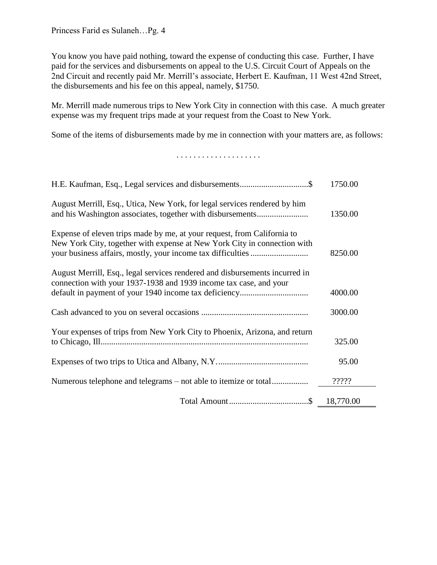You know you have paid nothing, toward the expense of conducting this case. Further, I have paid for the services and disbursements on appeal to the U.S. Circuit Court of Appeals on the 2nd Circuit and recently paid Mr. Merrill's associate, Herbert E. Kaufman, 11 West 42nd Street, the disbursements and his fee on this appeal, namely, \$1750.

Mr. Merrill made numerous trips to New York City in connection with this case. A much greater expense was my frequent trips made at your request from the Coast to New York.

Some of the items of disbursements made by me in connection with your matters are, as follows:

## . . . . . . . . . . . . . . . . . . . .

| H.E. Kaufman, Esq., Legal services and disbursements\$                                                                                              | 1750.00 |
|-----------------------------------------------------------------------------------------------------------------------------------------------------|---------|
| August Merrill, Esq., Utica, New York, for legal services rendered by him                                                                           | 1350.00 |
| Expense of eleven trips made by me, at your request, from California to<br>New York City, together with expense at New York City in connection with | 8250.00 |
| August Merrill, Esq., legal services rendered and disbursements incurred in<br>connection with your 1937-1938 and 1939 income tax case, and your    | 4000.00 |
|                                                                                                                                                     | 3000.00 |
| Your expenses of trips from New York City to Phoenix, Arizona, and return                                                                           | 325.00  |
|                                                                                                                                                     | 95.00   |
| Numerous telephone and telegrams – not able to itemize or total                                                                                     | ?????   |
|                                                                                                                                                     |         |